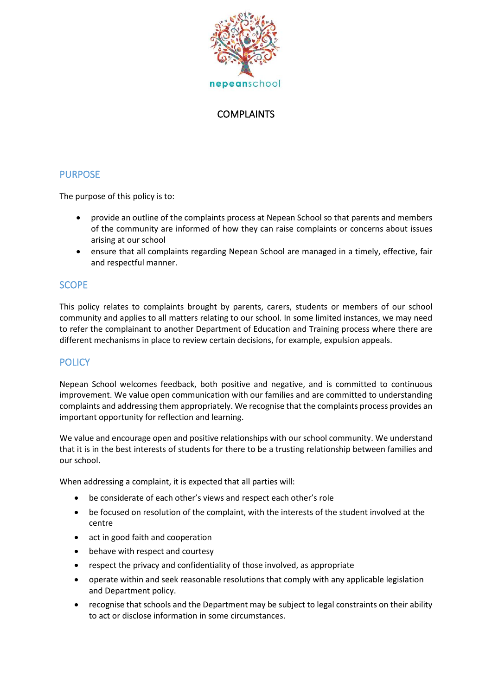

# COMPLAINTS

## PURPOSE

The purpose of this policy is to:

- provide an outline of the complaints process at Nepean School so that parents and members of the community are informed of how they can raise complaints or concerns about issues arising at our school
- ensure that all complaints regarding Nepean School are managed in a timely, effective, fair and respectful manner.

### **SCOPE**

This policy relates to complaints brought by parents, carers, students or members of our school community and applies to all matters relating to our school. In some limited instances, we may need to refer the complainant to another Department of Education and Training process where there are different mechanisms in place to review certain decisions, for example, expulsion appeals.

## **POLICY**

Nepean School welcomes feedback, both positive and negative, and is committed to continuous improvement. We value open communication with our families and are committed to understanding complaints and addressing them appropriately. We recognise that the complaints process provides an important opportunity for reflection and learning.

We value and encourage open and positive relationships with our school community. We understand that it is in the best interests of students for there to be a trusting relationship between families and our school.

When addressing a complaint, it is expected that all parties will:

- be considerate of each other's views and respect each other's role
- be focused on resolution of the complaint, with the interests of the student involved at the centre
- act in good faith and cooperation
- behave with respect and courtesy
- respect the privacy and confidentiality of those involved, as appropriate
- operate within and seek reasonable resolutions that comply with any applicable legislation and Department policy.
- recognise that schools and the Department may be subject to legal constraints on their ability to act or disclose information in some circumstances.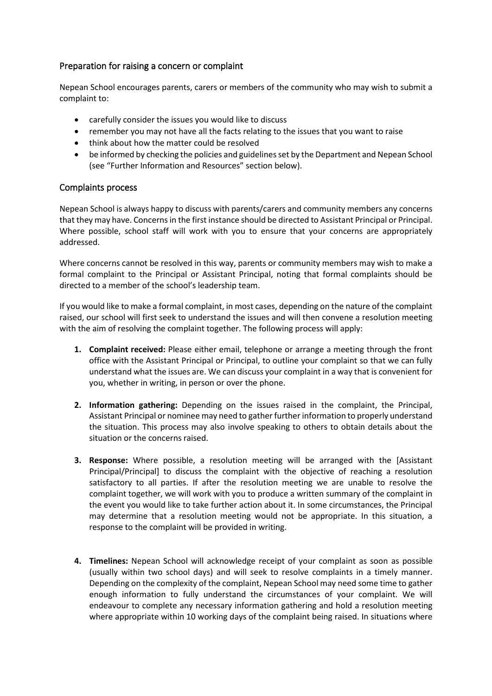## Preparation for raising a concern or complaint

Nepean School encourages parents, carers or members of the community who may wish to submit a complaint to:

- carefully consider the issues you would like to discuss
- remember you may not have all the facts relating to the issues that you want to raise
- think about how the matter could be resolved
- be informed by checking the policies and guidelines set by the Department and Nepean School (see "Further Information and Resources" section below).

### Complaints process

Nepean School is always happy to discuss with parents/carers and community members any concerns that they may have. Concerns in the first instance should be directed to Assistant Principal or Principal. Where possible, school staff will work with you to ensure that your concerns are appropriately addressed.

Where concerns cannot be resolved in this way, parents or community members may wish to make a formal complaint to the Principal or Assistant Principal, noting that formal complaints should be directed to a member of the school's leadership team.

If you would like to make a formal complaint, in most cases, depending on the nature of the complaint raised, our school will first seek to understand the issues and will then convene a resolution meeting with the aim of resolving the complaint together. The following process will apply:

- **1. Complaint received:** Please either email, telephone or arrange a meeting through the front office with the Assistant Principal or Principal, to outline your complaint so that we can fully understand what the issues are. We can discuss your complaint in a way that is convenient for you, whether in writing, in person or over the phone.
- **2. Information gathering:** Depending on the issues raised in the complaint, the Principal, Assistant Principal or nominee may need to gather further information to properly understand the situation. This process may also involve speaking to others to obtain details about the situation or the concerns raised.
- **3. Response:** Where possible, a resolution meeting will be arranged with the [Assistant Principal/Principal] to discuss the complaint with the objective of reaching a resolution satisfactory to all parties. If after the resolution meeting we are unable to resolve the complaint together, we will work with you to produce a written summary of the complaint in the event you would like to take further action about it. In some circumstances, the Principal may determine that a resolution meeting would not be appropriate. In this situation, a response to the complaint will be provided in writing.
- **4. Timelines:** Nepean School will acknowledge receipt of your complaint as soon as possible (usually within two school days) and will seek to resolve complaints in a timely manner. Depending on the complexity of the complaint, Nepean School may need some time to gather enough information to fully understand the circumstances of your complaint. We will endeavour to complete any necessary information gathering and hold a resolution meeting where appropriate within 10 working days of the complaint being raised. In situations where